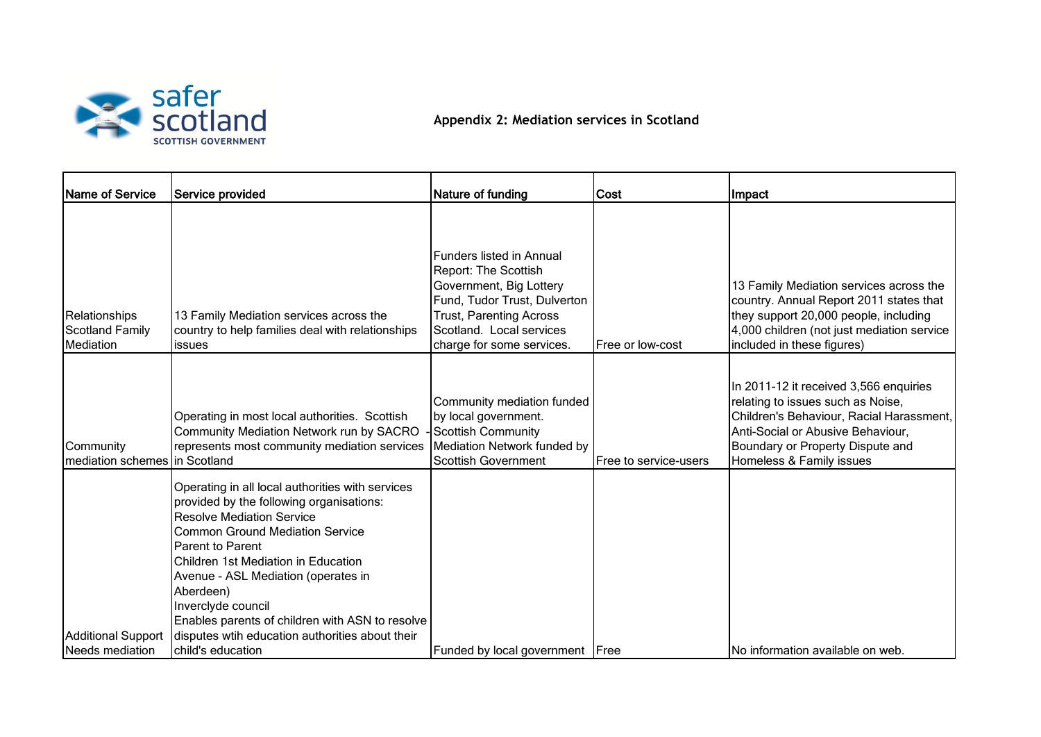

## **Appendix 2: Mediation services in Scotland**

| Name of Service                                      | Service provided                                                                                                                                                                                                                                                                                                                                                          | Nature of funding                                                                                                                                                                                                    | Cost                  | Impact                                                                                                                                                                                                                       |
|------------------------------------------------------|---------------------------------------------------------------------------------------------------------------------------------------------------------------------------------------------------------------------------------------------------------------------------------------------------------------------------------------------------------------------------|----------------------------------------------------------------------------------------------------------------------------------------------------------------------------------------------------------------------|-----------------------|------------------------------------------------------------------------------------------------------------------------------------------------------------------------------------------------------------------------------|
| Relationships<br><b>Scotland Family</b><br>Mediation | 13 Family Mediation services across the<br>country to help families deal with relationships<br>issues                                                                                                                                                                                                                                                                     | <b>Funders listed in Annual</b><br><b>Report: The Scottish</b><br>Government, Big Lottery<br>Fund, Tudor Trust, Dulverton<br><b>Trust, Parenting Across</b><br>Scotland. Local services<br>charge for some services. | Free or low-cost      | 13 Family Mediation services across the<br>country. Annual Report 2011 states that<br>they support 20,000 people, including<br>4,000 children (not just mediation service<br>included in these figures)                      |
| Community<br>mediation schemes in Scotland           | Operating in most local authorities. Scottish<br>Community Mediation Network run by SACRO<br>represents most community mediation services                                                                                                                                                                                                                                 | Community mediation funded<br>by local government.<br>Scottish Community<br>Mediation Network funded by<br><b>Scottish Government</b>                                                                                | Free to service-users | In 2011-12 it received 3,566 enquiries<br>relating to issues such as Noise,<br>Children's Behaviour, Racial Harassment,<br>Anti-Social or Abusive Behaviour,<br>Boundary or Property Dispute and<br>Homeless & Family issues |
|                                                      | Operating in all local authorities with services<br>provided by the following organisations:<br><b>Resolve Mediation Service</b><br><b>Common Ground Mediation Service</b><br><b>Parent to Parent</b><br>Children 1st Mediation in Education<br>Avenue - ASL Mediation (operates in<br>Aberdeen)<br>Inverclyde council<br>Enables parents of children with ASN to resolve |                                                                                                                                                                                                                      |                       |                                                                                                                                                                                                                              |
| <b>Additional Support</b><br>Needs mediation         | disputes wtih education authorities about their<br>child's education                                                                                                                                                                                                                                                                                                      | Funded by local government   Free                                                                                                                                                                                    |                       | No information available on web.                                                                                                                                                                                             |